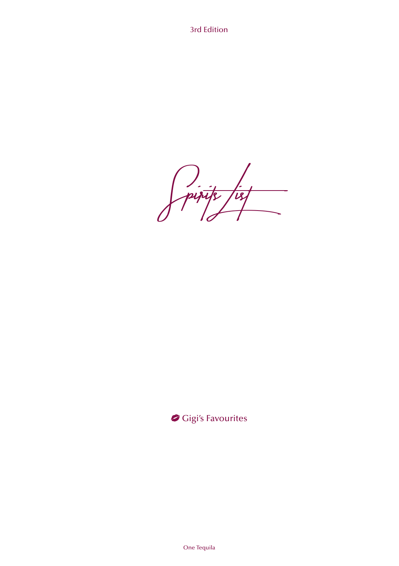3rd Edition

Spirits List J.

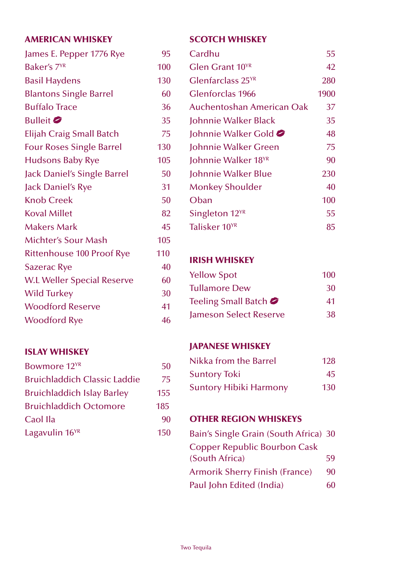#### AMERICAN WHISKEY

| James E. Pepper 1776 Rye          | 95  |
|-----------------------------------|-----|
| Baker's 7 <sup>YR</sup>           | 100 |
| <b>Basil Haydens</b>              | 130 |
| <b>Blantons Single Barrel</b>     | 60  |
| <b>Buffalo Trace</b>              | 36  |
| Bulleit <b>&amp;</b>              | 35  |
| Elijah Craig Small Batch          | 75  |
| <b>Four Roses Single Barrel</b>   | 130 |
| <b>Hudsons Baby Rye</b>           | 105 |
| Jack Daniel's Single Barrel       | 50  |
| Jack Daniel's Rye                 | 31  |
| <b>Knob Creek</b>                 | 50  |
| <b>Koval Millet</b>               | 82  |
| <b>Makers Mark</b>                | 45  |
| Michter's Sour Mash               | 105 |
| Rittenhouse 100 Proof Rye         | 110 |
| <b>Sazerac Rye</b>                | 40  |
| <b>W.L Weller Special Reserve</b> | 60  |
| <b>Wild Turkey</b>                | 30  |
| <b>Woodford Reserve</b>           | 41  |
| <b>Woodford Rye</b>               | 46  |
|                                   |     |

### ISLAY WHISKEY

| Bowmore 12 <sup>YR</sup>          | 50  |
|-----------------------------------|-----|
| Bruichladdich Classic Laddie      | 75  |
| <b>Bruichladdich Islay Barley</b> | 155 |
| <b>Bruichladdich Octomore</b>     | 185 |
| Caol Ila                          | 90  |
| Lagavulin 16 <sup>YR</sup>        | 150 |

#### SCOTCH WHISKEY

| Cardhu                          | 55   |
|---------------------------------|------|
| Glen Grant 10 <sup>YR</sup>     | 42   |
| Glenfarclass 25 <sup>YR</sup>   | 280  |
| Glenforclas 1966                | 1900 |
| Auchentoshan American Oak       | 37   |
| Johnnie Walker Black            | 35   |
| Johnnie Walker Gold             | 48   |
| Johnnie Walker Green            | 75   |
| Johnnie Walker 18 <sup>YR</sup> | 90   |
| Johnnie Walker Blue             | 230  |
| <b>Monkey Shoulder</b>          | 40   |
| Oban                            | 100  |
| Singleton 12 <sup>YR</sup>      | 55   |
| Talisker 10 <sup>YR</sup>       | 85   |
|                                 |      |

#### IRISH WHISKEY

| <b>Yellow Spot</b>     | 100 |
|------------------------|-----|
| <b>Tullamore Dew</b>   | 30  |
| Teeling Small Batch    | 41  |
| Jameson Select Reserve | 38  |

### JAPANESE WHISKEY

| Nikka from the Barrel  | 128 |
|------------------------|-----|
| <b>Suntory Toki</b>    | 45. |
| Suntory Hibiki Harmony | 130 |

### OTHER REGION WHISKEYS

| Bain's Single Grain (South Africa) 30       |  |
|---------------------------------------------|--|
| <b>Copper Republic Bourbon Cask</b>         |  |
| (South Africa)<br>59                        |  |
| <b>Armorik Sherry Finish (France)</b><br>90 |  |
| Paul John Edited (India)<br>60              |  |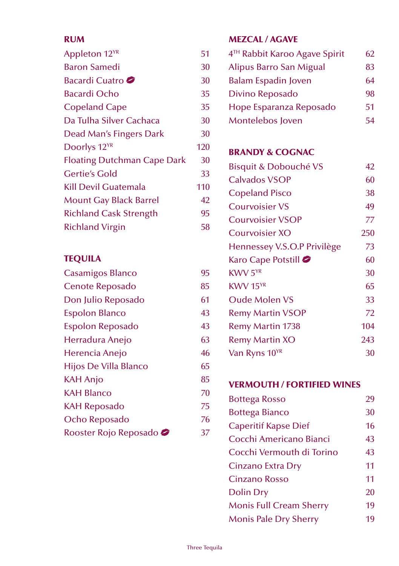#### RUM

| Appleton 12 <sup>YR</sup>          | 51  |
|------------------------------------|-----|
| <b>Baron Samedi</b>                | 30  |
| Bacardi Cuatro                     | 30  |
| <b>Bacardi Ocho</b>                | 35  |
| <b>Copeland Cape</b>               | 35  |
| Da Tulha Silver Cachaca            | 30  |
| Dead Man's Fingers Dark            | 30  |
| Doorlys 12 <sup>YR</sup>           | 120 |
| <b>Floating Dutchman Cape Dark</b> | 30  |
| Gertie's Gold                      | 33  |
| <b>Kill Devil Guatemala</b>        | 110 |
| <b>Mount Gay Black Barrel</b>      | 42  |
| <b>Richland Cask Strength</b>      | 95  |
| <b>Richland Virgin</b>             | 58  |

#### TEQUILA

| <b>Casamigos Blanco</b>        | 95 |
|--------------------------------|----|
| Cenote Reposado                | 85 |
| Don Julio Reposado             | 61 |
| <b>Espolon Blanco</b>          | 43 |
| Espolon Reposado               | 43 |
| Herradura Anejo                | 63 |
| Herencia Anejo                 | 46 |
| Hijos De Villa Blanco          | 65 |
| <b>KAH Anjo</b>                | 85 |
| <b>KAH Blanco</b>              | 70 |
| KAH Reposado                   | 75 |
| Ocho Reposado                  | 76 |
| Rooster Rojo Reposado <i>●</i> | 37 |

## MEZCAL / AGAVE

| 4 <sup>TH</sup> Rabbit Karoo Agave Spirit | 62 |
|-------------------------------------------|----|
| Alipus Barro San Migual                   | 83 |
| Balam Espadin Joven                       | 64 |
| Divino Reposado                           | 98 |
| Hope Esparanza Reposado                   | 51 |
| Montelebos Joven                          | 54 |
|                                           |    |

### BRANDY & COGNAC

| <b>Bisquit &amp; Dobouché VS</b> | 42  |
|----------------------------------|-----|
| Calvados VSOP                    | 60  |
| <b>Copeland Pisco</b>            | 38  |
| <b>Courvoisier VS</b>            | 49  |
| <b>Courvoisier VSOP</b>          | 77  |
| Courvoisier XO                   | 250 |
| Hennessey V.S.O.P Privilège      | 73  |
| Karo Cape Potstill               | 60  |
| KWV 5 <sup>YR</sup>              | 30  |
| $K$ WV 15 $YR$                   | 65  |
| <b>Oude Molen VS</b>             | 33  |
| <b>Remy Martin VSOP</b>          | 72  |
| Remy Martin 1738                 | 104 |
| <b>Remy Martin XO</b>            | 243 |
| Van Ryns 10YR                    | 30  |

## VERMOUTH / FORTIFIED WINES

| Bottega Rosso                  | 29 |
|--------------------------------|----|
| <b>Bottega Bianco</b>          | 30 |
| <b>Caperitif Kapse Dief</b>    | 16 |
| Cocchi Americano Bianci        | 43 |
| Cocchi Vermouth di Torino      | 43 |
| Cinzano Extra Dry              | 11 |
| Cinzano Rosso                  | 11 |
| Dolin Dry                      | 20 |
| <b>Monis Full Cream Sherry</b> | 19 |
| Monis Pale Dry Sherry          | 19 |
|                                |    |